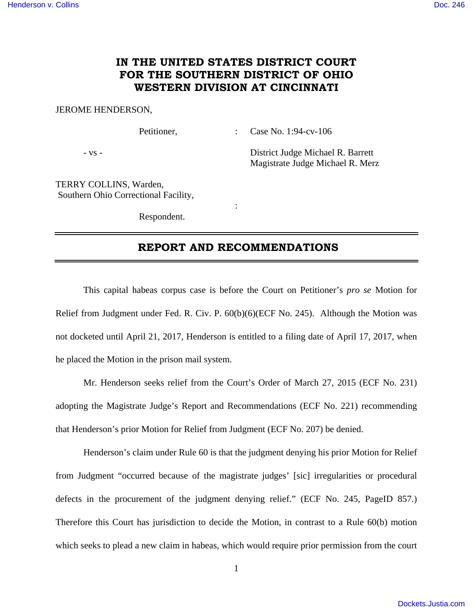# **IN THE UNITED STATES DISTRICT COURT FOR THE SOUTHERN DISTRICT OF OHIO WESTERN DIVISION AT CINCINNATI**

#### JEROME HENDERSON,

Petitioner, : Case No. 1:94-cv-106

- vs - District Judge Michael R. Barrett Magistrate Judge Michael R. Merz

TERRY COLLINS, Warden, Southern Ohio Correctional Facility,

Respondent.

**Service State State State** 

## **REPORT AND RECOMMENDATIONS**

 This capital habeas corpus case is before the Court on Petitioner's *pro se* Motion for Relief from Judgment under Fed. R. Civ. P. 60(b)(6)(ECF No. 245). Although the Motion was not docketed until April 21, 2017, Henderson is entitled to a filing date of April 17, 2017, when he placed the Motion in the prison mail system.

 Mr. Henderson seeks relief from the Court's Order of March 27, 2015 (ECF No. 231) adopting the Magistrate Judge's Report and Recommendations (ECF No. 221) recommending that Henderson's prior Motion for Relief from Judgment (ECF No. 207) be denied.

 Henderson's claim under Rule 60 is that the judgment denying his prior Motion for Relief from Judgment "occurred because of the magistrate judges' [sic] irregularities or procedural defects in the procurement of the judgment denying relief." (ECF No. 245, PageID 857.) Therefore this Court has jurisdiction to decide the Motion, in contrast to a Rule 60(b) motion which seeks to plead a new claim in habeas, which would require prior permission from the court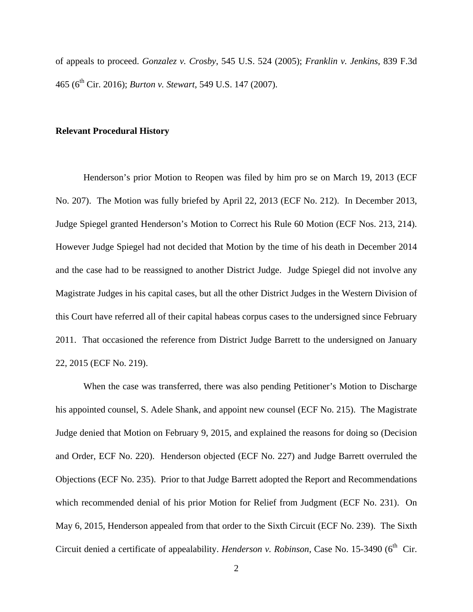of appeals to proceed. *Gonzalez v. Crosby*, 545 U.S. 524 (2005); *Franklin v. Jenkins*, 839 F.3d 465 (6th Cir. 2016); *Burton v. Stewart*, 549 U.S. 147 (2007).

#### **Relevant Procedural History**

 Henderson's prior Motion to Reopen was filed by him pro se on March 19, 2013 (ECF No. 207). The Motion was fully briefed by April 22, 2013 (ECF No. 212). In December 2013, Judge Spiegel granted Henderson's Motion to Correct his Rule 60 Motion (ECF Nos. 213, 214). However Judge Spiegel had not decided that Motion by the time of his death in December 2014 and the case had to be reassigned to another District Judge. Judge Spiegel did not involve any Magistrate Judges in his capital cases, but all the other District Judges in the Western Division of this Court have referred all of their capital habeas corpus cases to the undersigned since February 2011. That occasioned the reference from District Judge Barrett to the undersigned on January 22, 2015 (ECF No. 219).

 When the case was transferred, there was also pending Petitioner's Motion to Discharge his appointed counsel, S. Adele Shank, and appoint new counsel (ECF No. 215). The Magistrate Judge denied that Motion on February 9, 2015, and explained the reasons for doing so (Decision and Order, ECF No. 220). Henderson objected (ECF No. 227) and Judge Barrett overruled the Objections (ECF No. 235). Prior to that Judge Barrett adopted the Report and Recommendations which recommended denial of his prior Motion for Relief from Judgment (ECF No. 231). On May 6, 2015, Henderson appealed from that order to the Sixth Circuit (ECF No. 239). The Sixth Circuit denied a certificate of appealability. *Henderson v. Robinson*, Case No. 15-3490 (6<sup>th</sup> Cir.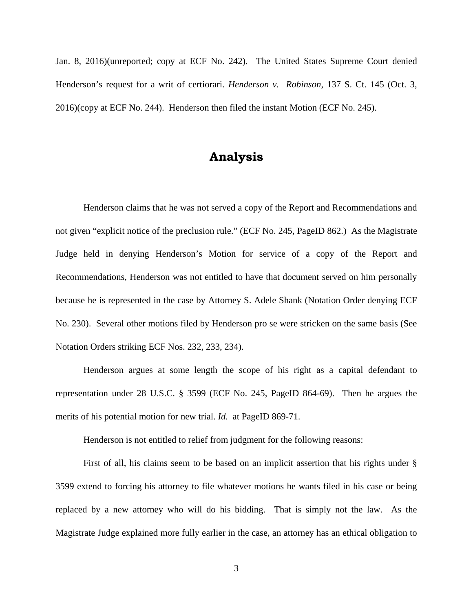Jan. 8, 2016)(unreported; copy at ECF No. 242). The United States Supreme Court denied Henderson's request for a writ of certiorari. *Henderson v. Robinson*, 137 S. Ct. 145 (Oct. 3, 2016)(copy at ECF No. 244). Henderson then filed the instant Motion (ECF No. 245).

# **Analysis**

 Henderson claims that he was not served a copy of the Report and Recommendations and not given "explicit notice of the preclusion rule." (ECF No. 245, PageID 862.) As the Magistrate Judge held in denying Henderson's Motion for service of a copy of the Report and Recommendations, Henderson was not entitled to have that document served on him personally because he is represented in the case by Attorney S. Adele Shank (Notation Order denying ECF No. 230). Several other motions filed by Henderson pro se were stricken on the same basis (See Notation Orders striking ECF Nos. 232, 233, 234).

 Henderson argues at some length the scope of his right as a capital defendant to representation under 28 U.S.C. § 3599 (ECF No. 245, PageID 864-69). Then he argues the merits of his potential motion for new trial. *Id.* at PageID 869-71.

Henderson is not entitled to relief from judgment for the following reasons:

 First of all, his claims seem to be based on an implicit assertion that his rights under § 3599 extend to forcing his attorney to file whatever motions he wants filed in his case or being replaced by a new attorney who will do his bidding. That is simply not the law. As the Magistrate Judge explained more fully earlier in the case, an attorney has an ethical obligation to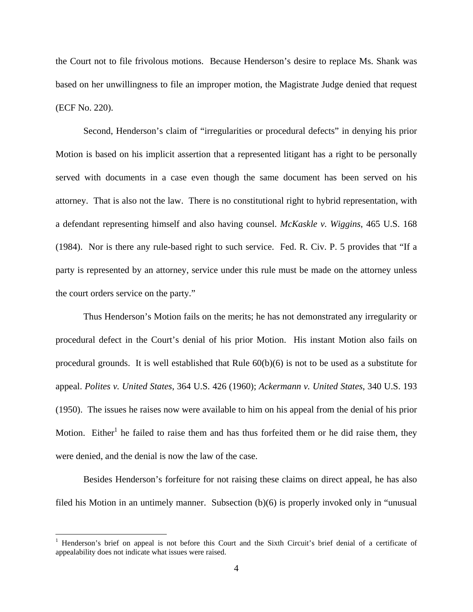the Court not to file frivolous motions. Because Henderson's desire to replace Ms. Shank was based on her unwillingness to file an improper motion, the Magistrate Judge denied that request (ECF No. 220).

 Second, Henderson's claim of "irregularities or procedural defects" in denying his prior Motion is based on his implicit assertion that a represented litigant has a right to be personally served with documents in a case even though the same document has been served on his attorney. That is also not the law. There is no constitutional right to hybrid representation, with a defendant representing himself and also having counsel. *McKaskle v. Wiggins*, 465 U.S. 168 (1984). Nor is there any rule-based right to such service. Fed. R. Civ. P. 5 provides that "If a party is represented by an attorney, service under this rule must be made on the attorney unless the court orders service on the party."

 Thus Henderson's Motion fails on the merits; he has not demonstrated any irregularity or procedural defect in the Court's denial of his prior Motion. His instant Motion also fails on procedural grounds. It is well established that Rule 60(b)(6) is not to be used as a substitute for appeal. *Polites v. United States*, 364 U.S. 426 (1960); *Ackermann v. United States*, 340 U.S. 193 (1950). The issues he raises now were available to him on his appeal from the denial of his prior Motion. Either<sup>1</sup> he failed to raise them and has thus forfeited them or he did raise them, they were denied, and the denial is now the law of the case.

 Besides Henderson's forfeiture for not raising these claims on direct appeal, he has also filed his Motion in an untimely manner. Subsection (b)(6) is properly invoked only in "unusual

 $\overline{a}$ 

<sup>&</sup>lt;sup>1</sup> Henderson's brief on appeal is not before this Court and the Sixth Circuit's brief denial of a certificate of appealability does not indicate what issues were raised.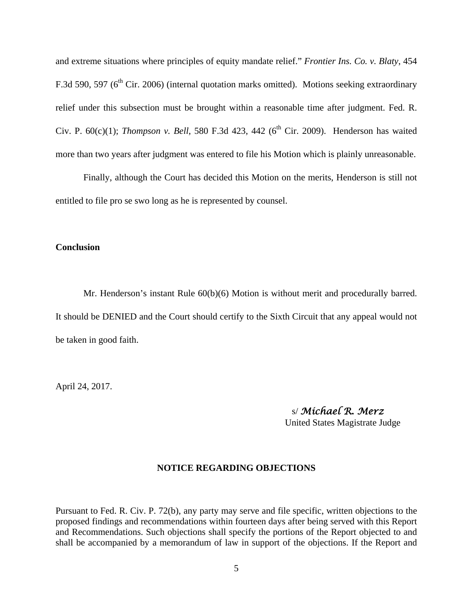and extreme situations where principles of equity mandate relief." *Frontier Ins. Co. v. Blaty*, 454 F.3d 590, 597 (6<sup>th</sup> Cir. 2006) (internal quotation marks omitted). Motions seeking extraordinary relief under this subsection must be brought within a reasonable time after judgment. Fed. R. Civ. P.  $60(c)(1)$ ; *Thompson v. Bell*, 580 F.3d 423, 442 ( $6<sup>th</sup>$  Cir. 2009). Henderson has waited more than two years after judgment was entered to file his Motion which is plainly unreasonable.

 Finally, although the Court has decided this Motion on the merits, Henderson is still not entitled to file pro se swo long as he is represented by counsel.

## **Conclusion**

Mr. Henderson's instant Rule 60(b)(6) Motion is without merit and procedurally barred. It should be DENIED and the Court should certify to the Sixth Circuit that any appeal would not be taken in good faith.

April 24, 2017.

 s/ *Michael R. Merz* United States Magistrate Judge

## **NOTICE REGARDING OBJECTIONS**

Pursuant to Fed. R. Civ. P. 72(b), any party may serve and file specific, written objections to the proposed findings and recommendations within fourteen days after being served with this Report and Recommendations. Such objections shall specify the portions of the Report objected to and shall be accompanied by a memorandum of law in support of the objections. If the Report and